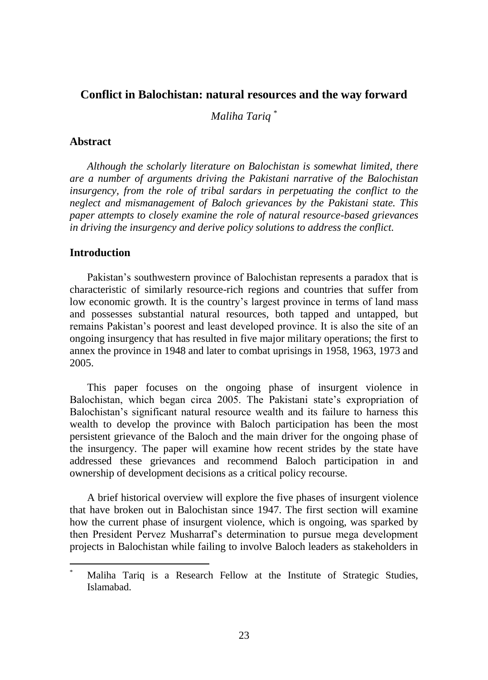## **Conflict in Balochistan: natural resources and the way forward**

*Maliha Tariq* \*

## **Abstract**

*Although the scholarly literature on Balochistan is somewhat limited, there are a number of arguments driving the Pakistani narrative of the Balochistan insurgency, from the role of tribal sardars in perpetuating the conflict to the neglect and mismanagement of Baloch grievances by the Pakistani state. This paper attempts to closely examine the role of natural resource-based grievances in driving the insurgency and derive policy solutions to address the conflict.* 

## **Introduction**

 $\overline{a}$ 

Pakistan"s southwestern province of Balochistan represents a paradox that is characteristic of similarly resource-rich regions and countries that suffer from low economic growth. It is the country"s largest province in terms of land mass and possesses substantial natural resources, both tapped and untapped, but remains Pakistan"s poorest and least developed province. It is also the site of an ongoing insurgency that has resulted in five major military operations; the first to annex the province in 1948 and later to combat uprisings in 1958, 1963, 1973 and 2005.

This paper focuses on the ongoing phase of insurgent violence in Balochistan, which began circa 2005. The Pakistani state"s expropriation of Balochistan's significant natural resource wealth and its failure to harness this wealth to develop the province with Baloch participation has been the most persistent grievance of the Baloch and the main driver for the ongoing phase of the insurgency. The paper will examine how recent strides by the state have addressed these grievances and recommend Baloch participation in and ownership of development decisions as a critical policy recourse.

A brief historical overview will explore the five phases of insurgent violence that have broken out in Balochistan since 1947. The first section will examine how the current phase of insurgent violence, which is ongoing, was sparked by then President Pervez Musharraf"s determination to pursue mega development projects in Balochistan while failing to involve Baloch leaders as stakeholders in

Maliha Tariq is a Research Fellow at the Institute of Strategic Studies, Islamabad.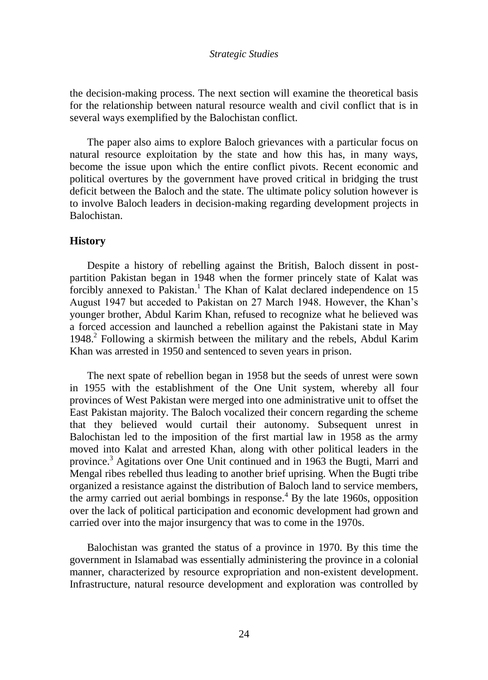the decision-making process. The next section will examine the theoretical basis for the relationship between natural resource wealth and civil conflict that is in several ways exemplified by the Balochistan conflict.

The paper also aims to explore Baloch grievances with a particular focus on natural resource exploitation by the state and how this has, in many ways, become the issue upon which the entire conflict pivots. Recent economic and political overtures by the government have proved critical in bridging the trust deficit between the Baloch and the state. The ultimate policy solution however is to involve Baloch leaders in decision-making regarding development projects in Balochistan.

## **History**

Despite a history of rebelling against the British, Baloch dissent in postpartition Pakistan began in 1948 when the former princely state of Kalat was forcibly annexed to Pakistan.<sup>1</sup> The Khan of Kalat declared independence on 15 August 1947 but acceded to Pakistan on 27 March 1948. However, the Khan"s younger brother, Abdul Karim Khan, refused to recognize what he believed was a forced accession and launched a rebellion against the Pakistani state in May 1948.<sup>2</sup> Following a skirmish between the military and the rebels, Abdul Karim Khan was arrested in 1950 and sentenced to seven years in prison.

The next spate of rebellion began in 1958 but the seeds of unrest were sown in 1955 with the establishment of the One Unit system, whereby all four provinces of West Pakistan were merged into one administrative unit to offset the East Pakistan majority. The Baloch vocalized their concern regarding the scheme that they believed would curtail their autonomy. Subsequent unrest in Balochistan led to the imposition of the first martial law in 1958 as the army moved into Kalat and arrested Khan, along with other political leaders in the province.<sup>3</sup> Agitations over One Unit continued and in 1963 the Bugti, Marri and Mengal ribes rebelled thus leading to another brief uprising. When the Bugti tribe organized a resistance against the distribution of Baloch land to service members, the army carried out aerial bombings in response.<sup>4</sup> By the late 1960s, opposition over the lack of political participation and economic development had grown and carried over into the major insurgency that was to come in the 1970s.

Balochistan was granted the status of a province in 1970. By this time the government in Islamabad was essentially administering the province in a colonial manner, characterized by resource expropriation and non-existent development. Infrastructure, natural resource development and exploration was controlled by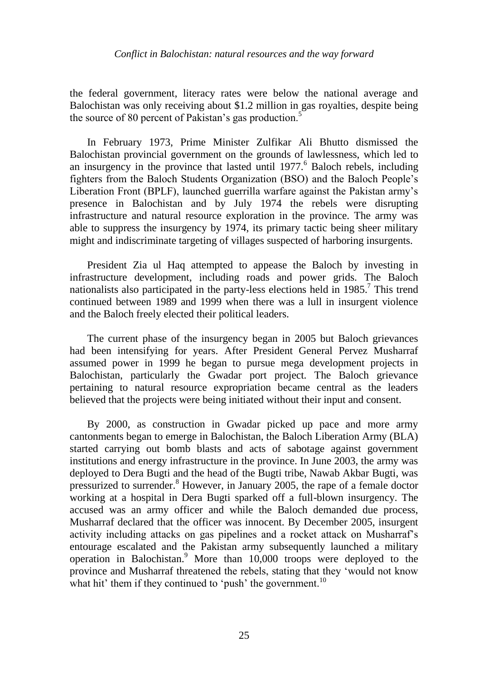### *Conflict in Balochistan: natural resources and the way forward*

the federal government, literacy rates were below the national average and Balochistan was only receiving about \$1.2 million in gas royalties, despite being the source of 80 percent of Pakistan's gas production.<sup>5</sup>

In February 1973, Prime Minister Zulfikar Ali Bhutto dismissed the Balochistan provincial government on the grounds of lawlessness, which led to an insurgency in the province that lasted until  $1977$ . Baloch rebels, including fighters from the Baloch Students Organization (BSO) and the Baloch People"s Liberation Front (BPLF), launched guerrilla warfare against the Pakistan army"s presence in Balochistan and by July 1974 the rebels were disrupting infrastructure and natural resource exploration in the province. The army was able to suppress the insurgency by 1974, its primary tactic being sheer military might and indiscriminate targeting of villages suspected of harboring insurgents.

President Zia ul Haq attempted to appease the Baloch by investing in infrastructure development, including roads and power grids. The Baloch nationalists also participated in the party-less elections held in  $1985$ .<sup>7</sup> This trend continued between 1989 and 1999 when there was a lull in insurgent violence and the Baloch freely elected their political leaders.

The current phase of the insurgency began in 2005 but Baloch grievances had been intensifying for years. After President General Pervez Musharraf assumed power in 1999 he began to pursue mega development projects in Balochistan, particularly the Gwadar port project. The Baloch grievance pertaining to natural resource expropriation became central as the leaders believed that the projects were being initiated without their input and consent.

By 2000, as construction in Gwadar picked up pace and more army cantonments began to emerge in Balochistan, the Baloch Liberation Army (BLA) started carrying out bomb blasts and acts of sabotage against government institutions and energy infrastructure in the province. In June 2003, the army was deployed to Dera Bugti and the head of the Bugti tribe, Nawab Akbar Bugti, was pressurized to surrender.<sup>8</sup> However, in January 2005, the rape of a female doctor working at a hospital in Dera Bugti sparked off a full-blown insurgency. The accused was an army officer and while the Baloch demanded due process, Musharraf declared that the officer was innocent. By December 2005, insurgent activity including attacks on gas pipelines and a rocket attack on Musharraf"s entourage escalated and the Pakistan army subsequently launched a military operation in Balochistan.<sup>9</sup> More than  $10,000$  troops were deployed to the province and Musharraf threatened the rebels, stating that they "would not know what hit' them if they continued to 'push' the government.<sup>10</sup>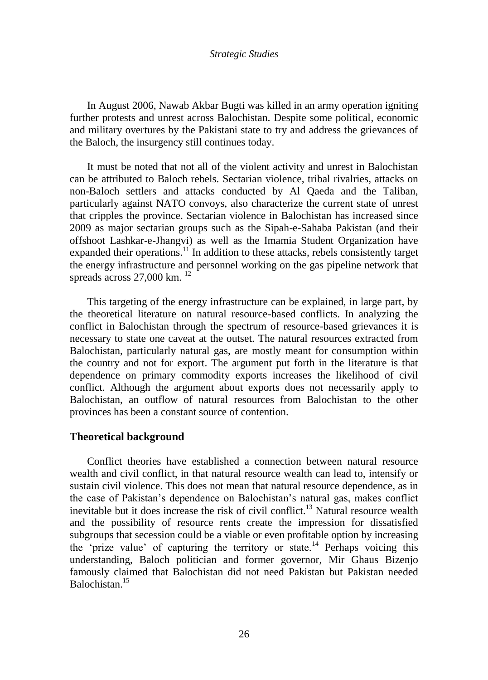In August 2006, Nawab Akbar Bugti was killed in an army operation igniting further protests and unrest across Balochistan. Despite some political, economic and military overtures by the Pakistani state to try and address the grievances of the Baloch, the insurgency still continues today.

It must be noted that not all of the violent activity and unrest in Balochistan can be attributed to Baloch rebels. Sectarian violence, tribal rivalries, attacks on non-Baloch settlers and attacks conducted by Al Qaeda and the Taliban, particularly against NATO convoys, also characterize the current state of unrest that cripples the province. Sectarian violence in Balochistan has increased since 2009 as major sectarian groups such as the Sipah-e-Sahaba Pakistan (and their offshoot Lashkar-e-Jhangvi) as well as the Imamia Student Organization have expanded their operations.<sup>11</sup> In addition to these attacks, rebels consistently target the energy infrastructure and personnel working on the gas pipeline network that spreads across  $27,000$  km.  $^{12}$ 

This targeting of the energy infrastructure can be explained, in large part, by the theoretical literature on natural resource-based conflicts. In analyzing the conflict in Balochistan through the spectrum of resource-based grievances it is necessary to state one caveat at the outset. The natural resources extracted from Balochistan, particularly natural gas, are mostly meant for consumption within the country and not for export. The argument put forth in the literature is that dependence on primary commodity exports increases the likelihood of civil conflict. Although the argument about exports does not necessarily apply to Balochistan, an outflow of natural resources from Balochistan to the other provinces has been a constant source of contention.

#### **Theoretical background**

Conflict theories have established a connection between natural resource wealth and civil conflict, in that natural resource wealth can lead to, intensify or sustain civil violence. This does not mean that natural resource dependence, as in the case of Pakistan"s dependence on Balochistan"s natural gas, makes conflict inevitable but it does increase the risk of civil conflict.<sup>13</sup> Natural resource wealth and the possibility of resource rents create the impression for dissatisfied subgroups that secession could be a viable or even profitable option by increasing the 'prize value' of capturing the territory or state.<sup>14</sup> Perhaps voicing this understanding, Baloch politician and former governor, Mir Ghaus Bizenjo famously claimed that Balochistan did not need Pakistan but Pakistan needed Balochistan.<sup>15</sup>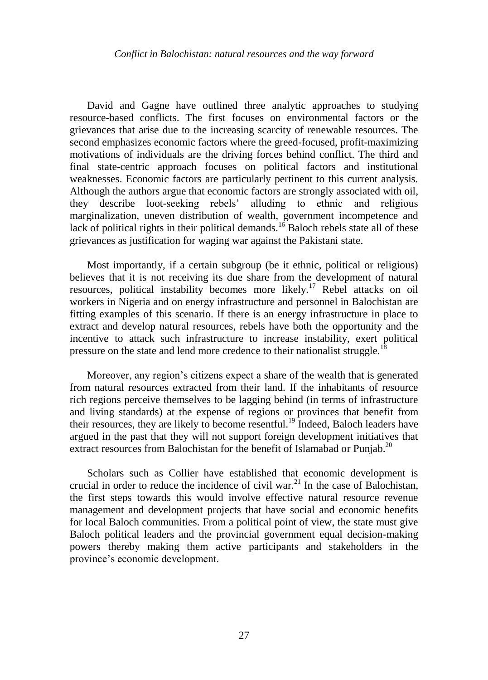David and Gagne have outlined three analytic approaches to studying resource-based conflicts. The first focuses on environmental factors or the grievances that arise due to the increasing scarcity of renewable resources. The second emphasizes economic factors where the greed-focused, profit-maximizing motivations of individuals are the driving forces behind conflict. The third and final state-centric approach focuses on political factors and institutional weaknesses. Economic factors are particularly pertinent to this current analysis. Although the authors argue that economic factors are strongly associated with oil, they describe loot-seeking rebels" alluding to ethnic and religious marginalization, uneven distribution of wealth, government incompetence and lack of political rights in their political demands.<sup>16</sup> Baloch rebels state all of these grievances as justification for waging war against the Pakistani state.

Most importantly, if a certain subgroup (be it ethnic, political or religious) believes that it is not receiving its due share from the development of natural resources, political instability becomes more likely.<sup>17</sup> Rebel attacks on oil workers in Nigeria and on energy infrastructure and personnel in Balochistan are fitting examples of this scenario. If there is an energy infrastructure in place to extract and develop natural resources, rebels have both the opportunity and the incentive to attack such infrastructure to increase instability, exert political pressure on the state and lend more credence to their nationalist struggle.<sup>18</sup>

Moreover, any region"s citizens expect a share of the wealth that is generated from natural resources extracted from their land. If the inhabitants of resource rich regions perceive themselves to be lagging behind (in terms of infrastructure and living standards) at the expense of regions or provinces that benefit from their resources, they are likely to become resentful.<sup>19</sup> Indeed, Baloch leaders have argued in the past that they will not support foreign development initiatives that extract resources from Balochistan for the benefit of Islamabad or Punjab.<sup>20</sup>

Scholars such as Collier have established that economic development is crucial in order to reduce the incidence of civil war.<sup>21</sup> In the case of Balochistan, the first steps towards this would involve effective natural resource revenue management and development projects that have social and economic benefits for local Baloch communities. From a political point of view, the state must give Baloch political leaders and the provincial government equal decision-making powers thereby making them active participants and stakeholders in the province"s economic development.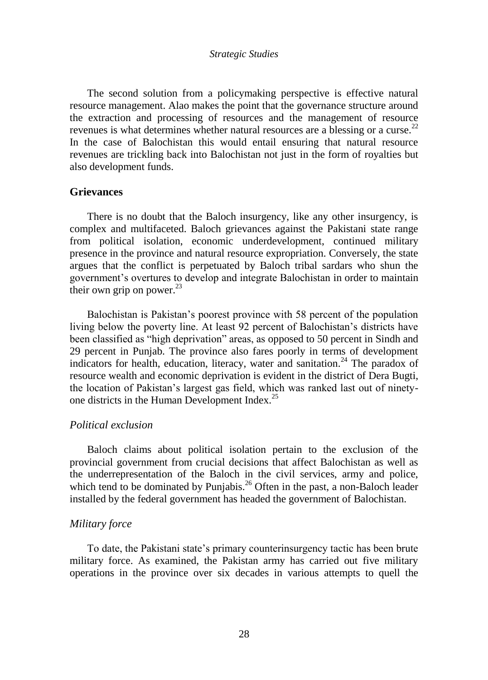The second solution from a policymaking perspective is effective natural resource management. Alao makes the point that the governance structure around the extraction and processing of resources and the management of resource revenues is what determines whether natural resources are a blessing or a curse.<sup>22</sup> In the case of Balochistan this would entail ensuring that natural resource revenues are trickling back into Balochistan not just in the form of royalties but also development funds.

## **Grievances**

There is no doubt that the Baloch insurgency, like any other insurgency, is complex and multifaceted. Baloch grievances against the Pakistani state range from political isolation, economic underdevelopment, continued military presence in the province and natural resource expropriation. Conversely, the state argues that the conflict is perpetuated by Baloch tribal sardars who shun the government"s overtures to develop and integrate Balochistan in order to maintain their own grip on power. $^{23}$ 

Balochistan is Pakistan"s poorest province with 58 percent of the population living below the poverty line. At least 92 percent of Balochistan's districts have been classified as "high deprivation" areas, as opposed to 50 percent in Sindh and 29 percent in Punjab. The province also fares poorly in terms of development indicators for health, education, literacy, water and sanitation.<sup>24</sup> The paradox of resource wealth and economic deprivation is evident in the district of Dera Bugti, the location of Pakistan"s largest gas field, which was ranked last out of ninetyone districts in the Human Development Index. $25$ 

## *Political exclusion*

Baloch claims about political isolation pertain to the exclusion of the provincial government from crucial decisions that affect Balochistan as well as the underrepresentation of the Baloch in the civil services, army and police, which tend to be dominated by Punjabis.<sup>26</sup> Often in the past, a non-Baloch leader installed by the federal government has headed the government of Balochistan.

### *Military force*

To date, the Pakistani state's primary counterinsurgency tactic has been brute military force. As examined, the Pakistan army has carried out five military operations in the province over six decades in various attempts to quell the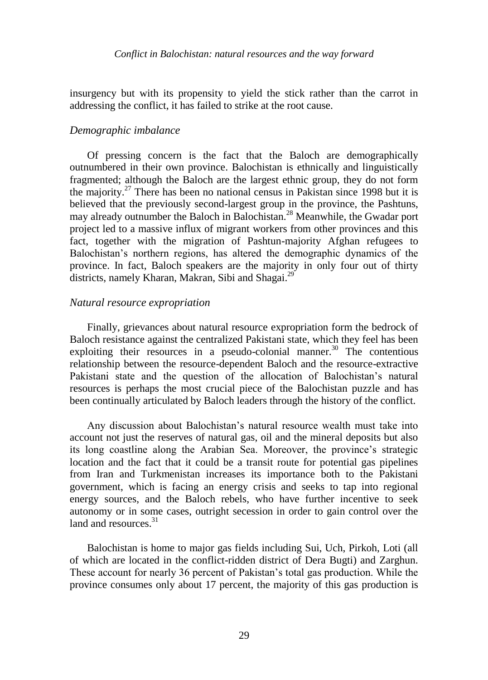insurgency but with its propensity to yield the stick rather than the carrot in addressing the conflict, it has failed to strike at the root cause.

## *Demographic imbalance*

Of pressing concern is the fact that the Baloch are demographically outnumbered in their own province. Balochistan is ethnically and linguistically fragmented; although the Baloch are the largest ethnic group, they do not form the majority.<sup>27</sup> There has been no national census in Pakistan since 1998 but it is believed that the previously second-largest group in the province, the Pashtuns, may already outnumber the Baloch in Balochistan.<sup>28</sup> Meanwhile, the Gwadar port project led to a massive influx of migrant workers from other provinces and this fact, together with the migration of Pashtun-majority Afghan refugees to Balochistan"s northern regions, has altered the demographic dynamics of the province. In fact, Baloch speakers are the majority in only four out of thirty districts, namely Kharan, Makran, Sibi and Shagai.<sup>29</sup>

## *Natural resource expropriation*

Finally, grievances about natural resource expropriation form the bedrock of Baloch resistance against the centralized Pakistani state, which they feel has been exploiting their resources in a pseudo-colonial manner.<sup>30</sup> The contentious relationship between the resource-dependent Baloch and the resource-extractive Pakistani state and the question of the allocation of Balochistan's natural resources is perhaps the most crucial piece of the Balochistan puzzle and has been continually articulated by Baloch leaders through the history of the conflict.

Any discussion about Balochistan"s natural resource wealth must take into account not just the reserves of natural gas, oil and the mineral deposits but also its long coastline along the Arabian Sea. Moreover, the province"s strategic location and the fact that it could be a transit route for potential gas pipelines from Iran and Turkmenistan increases its importance both to the Pakistani government, which is facing an energy crisis and seeks to tap into regional energy sources, and the Baloch rebels, who have further incentive to seek autonomy or in some cases, outright secession in order to gain control over the land and resources  $31$ 

Balochistan is home to major gas fields including Sui, Uch, Pirkoh, Loti (all of which are located in the conflict-ridden district of Dera Bugti) and Zarghun. These account for nearly 36 percent of Pakistan"s total gas production. While the province consumes only about 17 percent, the majority of this gas production is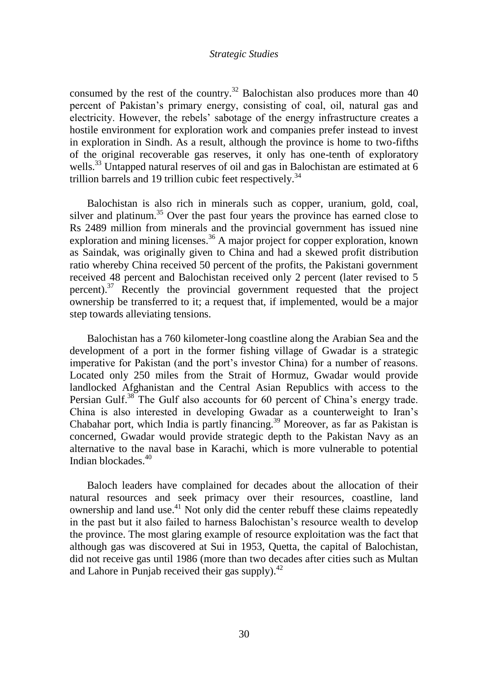consumed by the rest of the country.<sup>32</sup> Balochistan also produces more than  $40$ percent of Pakistan"s primary energy, consisting of coal, oil, natural gas and electricity. However, the rebels" sabotage of the energy infrastructure creates a hostile environment for exploration work and companies prefer instead to invest in exploration in Sindh. As a result, although the province is home to two-fifths of the original recoverable gas reserves, it only has one-tenth of exploratory wells.<sup>33</sup> Untapped natural reserves of oil and gas in Balochistan are estimated at 6 trillion barrels and 19 trillion cubic feet respectively.<sup>34</sup>

Balochistan is also rich in minerals such as copper, uranium, gold, coal, silver and platinum.<sup>35</sup> Over the past four years the province has earned close to Rs 2489 million from minerals and the provincial government has issued nine exploration and mining licenses.<sup>36</sup> A major project for copper exploration, known as Saindak, was originally given to China and had a skewed profit distribution ratio whereby China received 50 percent of the profits, the Pakistani government received 48 percent and Balochistan received only 2 percent (later revised to 5 percent).<sup>37</sup> Recently the provincial government requested that the project ownership be transferred to it; a request that, if implemented, would be a major step towards alleviating tensions.

Balochistan has a 760 kilometer-long coastline along the Arabian Sea and the development of a port in the former fishing village of Gwadar is a strategic imperative for Pakistan (and the port's investor China) for a number of reasons. Located only 250 miles from the Strait of Hormuz, Gwadar would provide landlocked Afghanistan and the Central Asian Republics with access to the Persian Gulf.<sup>38</sup> The Gulf also accounts for 60 percent of China's energy trade. China is also interested in developing Gwadar as a counterweight to Iran"s Chabahar port, which India is partly financing.<sup>39</sup> Moreover, as far as Pakistan is concerned, Gwadar would provide strategic depth to the Pakistan Navy as an alternative to the naval base in Karachi, which is more vulnerable to potential Indian blockades $\frac{40}{3}$ 

Baloch leaders have complained for decades about the allocation of their natural resources and seek primacy over their resources, coastline, land ownership and land use.<sup>41</sup> Not only did the center rebuff these claims repeatedly in the past but it also failed to harness Balochistan"s resource wealth to develop the province. The most glaring example of resource exploitation was the fact that although gas was discovered at Sui in 1953, Quetta, the capital of Balochistan, did not receive gas until 1986 (more than two decades after cities such as Multan and Lahore in Punjab received their gas supply). $^{42}$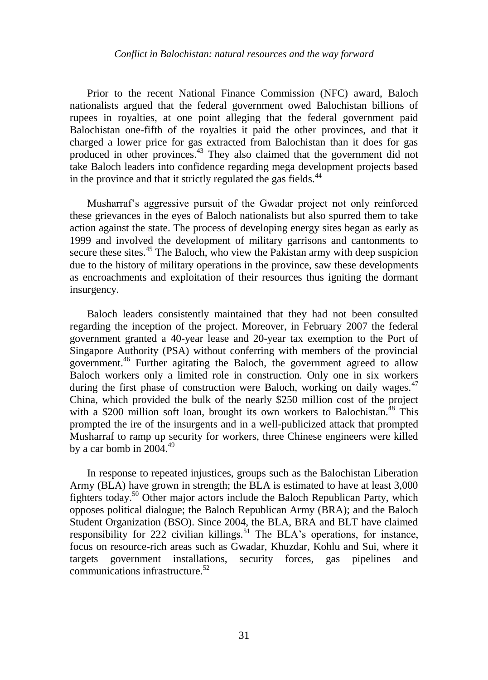Prior to the recent National Finance Commission (NFC) award, Baloch nationalists argued that the federal government owed Balochistan billions of rupees in royalties, at one point alleging that the federal government paid Balochistan one-fifth of the royalties it paid the other provinces, and that it charged a lower price for gas extracted from Balochistan than it does for gas produced in other provinces.<sup>43</sup> They also claimed that the government did not take Baloch leaders into confidence regarding mega development projects based in the province and that it strictly regulated the gas fields.<sup>44</sup>

Musharraf"s aggressive pursuit of the Gwadar project not only reinforced these grievances in the eyes of Baloch nationalists but also spurred them to take action against the state. The process of developing energy sites began as early as 1999 and involved the development of military garrisons and cantonments to secure these sites.<sup>45</sup> The Baloch, who view the Pakistan army with deep suspicion due to the history of military operations in the province, saw these developments as encroachments and exploitation of their resources thus igniting the dormant insurgency.

Baloch leaders consistently maintained that they had not been consulted regarding the inception of the project. Moreover, in February 2007 the federal government granted a 40-year lease and 20-year tax exemption to the Port of Singapore Authority (PSA) without conferring with members of the provincial government.<sup>46</sup> Further agitating the Baloch, the government agreed to allow Baloch workers only a limited role in construction. Only one in six workers during the first phase of construction were Baloch, working on daily wages.<sup>47</sup> China, which provided the bulk of the nearly \$250 million cost of the project with a \$200 million soft loan, brought its own workers to Balochistan.<sup>48</sup> This prompted the ire of the insurgents and in a well-publicized attack that prompted Musharraf to ramp up security for workers, three Chinese engineers were killed by a car bomb in  $2004.<sup>49</sup>$ 

In response to repeated injustices, groups such as the Balochistan Liberation Army (BLA) have grown in strength; the BLA is estimated to have at least 3,000 fighters today.<sup>50</sup> Other major actors include the Baloch Republican Party, which opposes political dialogue; the Baloch Republican Army (BRA); and the Baloch Student Organization (BSO). Since 2004, the BLA, BRA and BLT have claimed responsibility for  $222$  civilian killings.<sup>51</sup> The BLA's operations, for instance, focus on resource-rich areas such as Gwadar, Khuzdar, Kohlu and Sui, where it targets government installations, security forces, gas pipelines and communications infrastructure.<sup>52</sup>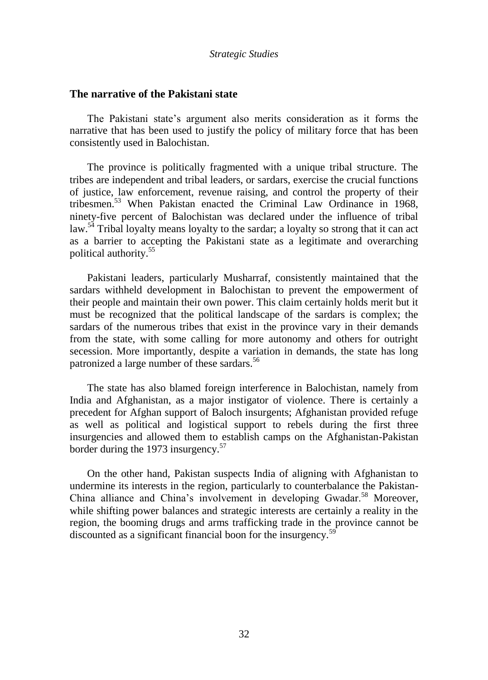## **The narrative of the Pakistani state**

The Pakistani state's argument also merits consideration as it forms the narrative that has been used to justify the policy of military force that has been consistently used in Balochistan.

The province is politically fragmented with a unique tribal structure. The tribes are independent and tribal leaders, or sardars, exercise the crucial functions of justice, law enforcement, revenue raising, and control the property of their tribesmen.<sup>53</sup> When Pakistan enacted the Criminal Law Ordinance in 1968, ninety-five percent of Balochistan was declared under the influence of tribal law.<sup>54</sup> Tribal loyalty means loyalty to the sardar; a loyalty so strong that it can act as a barrier to accepting the Pakistani state as a legitimate and overarching political authority.<sup>55</sup>

Pakistani leaders, particularly Musharraf, consistently maintained that the sardars withheld development in Balochistan to prevent the empowerment of their people and maintain their own power. This claim certainly holds merit but it must be recognized that the political landscape of the sardars is complex; the sardars of the numerous tribes that exist in the province vary in their demands from the state, with some calling for more autonomy and others for outright secession. More importantly, despite a variation in demands, the state has long patronized a large number of these sardars.<sup>56</sup>

The state has also blamed foreign interference in Balochistan, namely from India and Afghanistan, as a major instigator of violence. There is certainly a precedent for Afghan support of Baloch insurgents; Afghanistan provided refuge as well as political and logistical support to rebels during the first three insurgencies and allowed them to establish camps on the Afghanistan-Pakistan border during the 1973 insurgency.<sup>57</sup>

On the other hand, Pakistan suspects India of aligning with Afghanistan to undermine its interests in the region, particularly to counterbalance the Pakistan-China alliance and China's involvement in developing Gwadar.<sup>58</sup> Moreover, while shifting power balances and strategic interests are certainly a reality in the region, the booming drugs and arms trafficking trade in the province cannot be discounted as a significant financial boon for the insurgency.<sup>59</sup>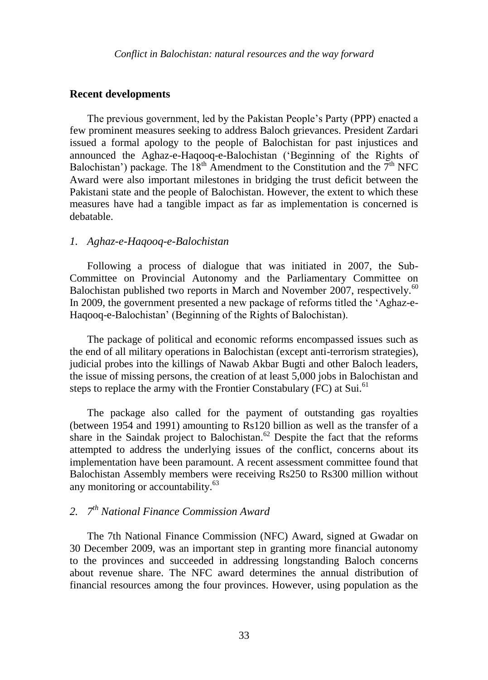## **Recent developments**

The previous government, led by the Pakistan People"s Party (PPP) enacted a few prominent measures seeking to address Baloch grievances. President Zardari issued a formal apology to the people of Balochistan for past injustices and announced the Aghaz-e-Haqooq-e-Balochistan ("Beginning of the Rights of Balochistan') package. The  $18<sup>th</sup>$  Amendment to the Constitution and the  $7<sup>th</sup>$  NFC Award were also important milestones in bridging the trust deficit between the Pakistani state and the people of Balochistan. However, the extent to which these measures have had a tangible impact as far as implementation is concerned is debatable.

## *1. Aghaz-e-Haqooq-e-Balochistan*

Following a process of dialogue that was initiated in 2007, the Sub-Committee on Provincial Autonomy and the Parliamentary Committee on Balochistan published two reports in March and November 2007, respectively.<sup>60</sup> In 2009, the government presented a new package of reforms titled the "Aghaz-e-Haqooq-e-Balochistan" (Beginning of the Rights of Balochistan).

The package of political and economic reforms encompassed issues such as the end of all military operations in Balochistan (except anti-terrorism strategies), judicial probes into the killings of Nawab Akbar Bugti and other Baloch leaders, the issue of missing persons, the creation of at least 5,000 jobs in Balochistan and steps to replace the army with the Frontier Constabulary (FC) at Sui.<sup>61</sup>

The package also called for the payment of outstanding gas royalties (between 1954 and 1991) amounting to Rs120 billion as well as the transfer of a share in the Saindak project to Balochistan.<sup>62</sup> Despite the fact that the reforms attempted to address the underlying issues of the conflict, concerns about its implementation have been paramount. A recent assessment committee found that Balochistan Assembly members were receiving Rs250 to Rs300 million without any monitoring or accountability.<sup>63</sup>

# *2. 7 th National Finance Commission Award*

The 7th National Finance Commission (NFC) Award, signed at Gwadar on 30 December 2009, was an important step in granting more financial autonomy to the provinces and succeeded in addressing longstanding Baloch concerns about revenue share. The NFC award determines the annual distribution of financial resources among the four provinces. However, using population as the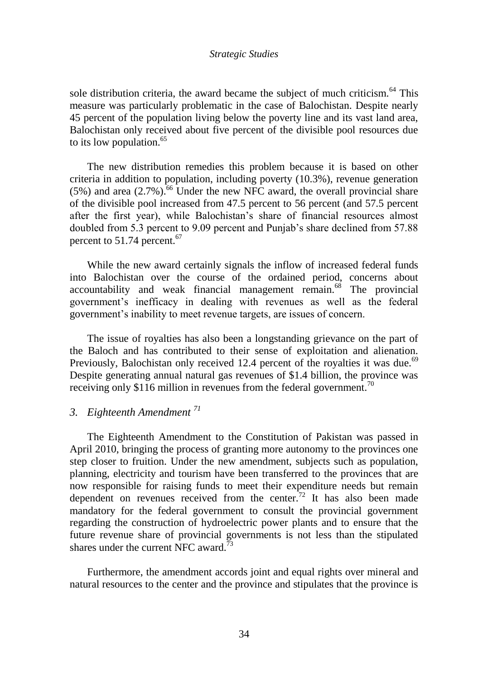sole distribution criteria, the award became the subject of much criticism.<sup>64</sup> This measure was particularly problematic in the case of Balochistan. Despite nearly 45 percent of the population living below the poverty line and its vast land area, Balochistan only received about five percent of the divisible pool resources due to its low population.<sup>65</sup>

The new distribution remedies this problem because it is based on other criteria in addition to population, including poverty (10.3%), revenue generation  $(5\%)$  and area  $(2.7\%)$ <sup>56</sup> Under the new NFC award, the overall provincial share of the divisible pool increased from 47.5 percent to 56 percent (and 57.5 percent after the first year), while Balochistan"s share of financial resources almost doubled from 5.3 percent to 9.09 percent and Punjab"s share declined from 57.88 percent to  $51.74$  percent.<sup>67</sup>

While the new award certainly signals the inflow of increased federal funds into Balochistan over the course of the ordained period, concerns about accountability and weak financial management remain.<sup>68</sup> The provincial government"s inefficacy in dealing with revenues as well as the federal government"s inability to meet revenue targets, are issues of concern.

The issue of royalties has also been a longstanding grievance on the part of the Baloch and has contributed to their sense of exploitation and alienation. Previously, Balochistan only received 12.4 percent of the royalties it was due.<sup>69</sup> Despite generating annual natural gas revenues of \$1.4 billion, the province was receiving only \$116 million in revenues from the federal government.<sup>70</sup>

## *3. Eighteenth Amendment <sup>71</sup>*

The Eighteenth Amendment to the Constitution of Pakistan was passed in April 2010, bringing the process of granting more autonomy to the provinces one step closer to fruition. Under the new amendment, subjects such as population, planning, electricity and tourism have been transferred to the provinces that are now responsible for raising funds to meet their expenditure needs but remain dependent on revenues received from the center.<sup>72</sup> It has also been made mandatory for the federal government to consult the provincial government regarding the construction of hydroelectric power plants and to ensure that the future revenue share of provincial governments is not less than the stipulated shares under the current NFC award.<sup>73</sup>

Furthermore, the amendment accords joint and equal rights over mineral and natural resources to the center and the province and stipulates that the province is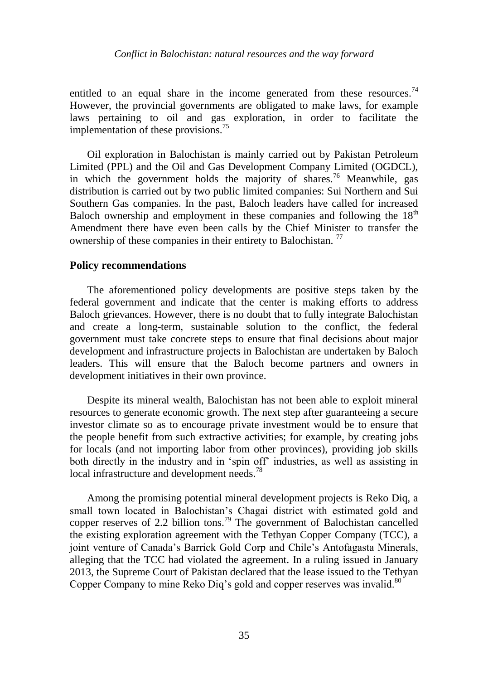## *Conflict in Balochistan: natural resources and the way forward*

entitled to an equal share in the income generated from these resources.<sup>74</sup> However, the provincial governments are obligated to make laws, for example laws pertaining to oil and gas exploration, in order to facilitate the implementation of these provisions.<sup>75</sup>

Oil exploration in Balochistan is mainly carried out by Pakistan Petroleum Limited (PPL) and the Oil and Gas Development Company Limited (OGDCL), in which the government holds the majority of shares.<sup>76</sup> Meanwhile, gas distribution is carried out by two public limited companies: Sui Northern and Sui Southern Gas companies. In the past, Baloch leaders have called for increased Baloch ownership and employment in these companies and following the  $18<sup>th</sup>$ Amendment there have even been calls by the Chief Minister to transfer the ownership of these companies in their entirety to Balochistan.<sup>77</sup>

## **Policy recommendations**

The aforementioned policy developments are positive steps taken by the federal government and indicate that the center is making efforts to address Baloch grievances. However, there is no doubt that to fully integrate Balochistan and create a long-term, sustainable solution to the conflict, the federal government must take concrete steps to ensure that final decisions about major development and infrastructure projects in Balochistan are undertaken by Baloch leaders. This will ensure that the Baloch become partners and owners in development initiatives in their own province.

Despite its mineral wealth, Balochistan has not been able to exploit mineral resources to generate economic growth. The next step after guaranteeing a secure investor climate so as to encourage private investment would be to ensure that the people benefit from such extractive activities; for example, by creating jobs for locals (and not importing labor from other provinces), providing job skills both directly in the industry and in "spin off" industries, as well as assisting in local infrastructure and development needs.<sup>78</sup>

Among the promising potential mineral development projects is Reko Diq, a small town located in Balochistan's Chagai district with estimated gold and copper reserves of 2.2 billion tons.<sup>79</sup> The government of Balochistan cancelled the existing exploration agreement with the Tethyan Copper Company (TCC), a joint venture of Canada"s Barrick Gold Corp and Chile"s Antofagasta Minerals, alleging that the TCC had violated the agreement. In a ruling issued in January 2013, the Supreme Court of Pakistan declared that the lease issued to the Tethyan Copper Company to mine Reko Diq's gold and copper reserves was invalid.<sup>80</sup>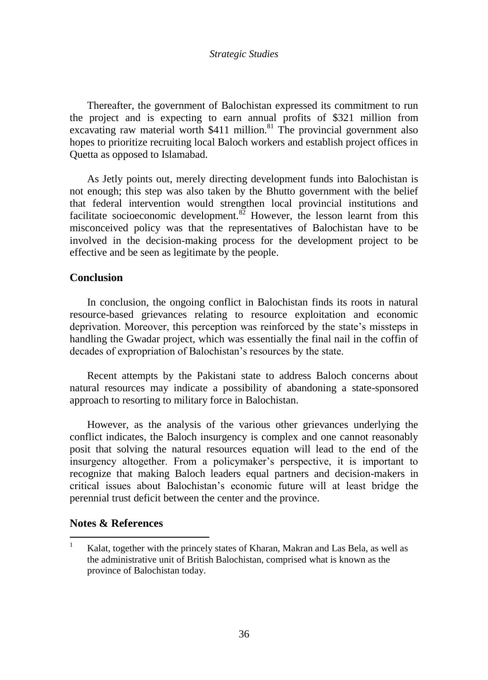Thereafter, the government of Balochistan expressed its commitment to run the project and is expecting to earn annual profits of \$321 million from excavating raw material worth  $$411$  million.<sup>81</sup> The provincial government also hopes to prioritize recruiting local Baloch workers and establish project offices in Quetta as opposed to Islamabad.

As Jetly points out, merely directing development funds into Balochistan is not enough; this step was also taken by the Bhutto government with the belief that federal intervention would strengthen local provincial institutions and facilitate socioeconomic development.<sup>82</sup> However, the lesson learnt from this misconceived policy was that the representatives of Balochistan have to be involved in the decision-making process for the development project to be effective and be seen as legitimate by the people.

## **Conclusion**

In conclusion, the ongoing conflict in Balochistan finds its roots in natural resource-based grievances relating to resource exploitation and economic deprivation. Moreover, this perception was reinforced by the state"s missteps in handling the Gwadar project, which was essentially the final nail in the coffin of decades of expropriation of Balochistan"s resources by the state.

Recent attempts by the Pakistani state to address Baloch concerns about natural resources may indicate a possibility of abandoning a state-sponsored approach to resorting to military force in Balochistan.

However, as the analysis of the various other grievances underlying the conflict indicates, the Baloch insurgency is complex and one cannot reasonably posit that solving the natural resources equation will lead to the end of the insurgency altogether. From a policymaker"s perspective, it is important to recognize that making Baloch leaders equal partners and decision-makers in critical issues about Balochistan"s economic future will at least bridge the perennial trust deficit between the center and the province.

## **Notes & References**

 $\overline{a}$ 

<sup>&</sup>lt;sup>1</sup> Kalat, together with the princely states of Kharan, Makran and Las Bela, as well as the administrative unit of British Balochistan, comprised what is known as the province of Balochistan today.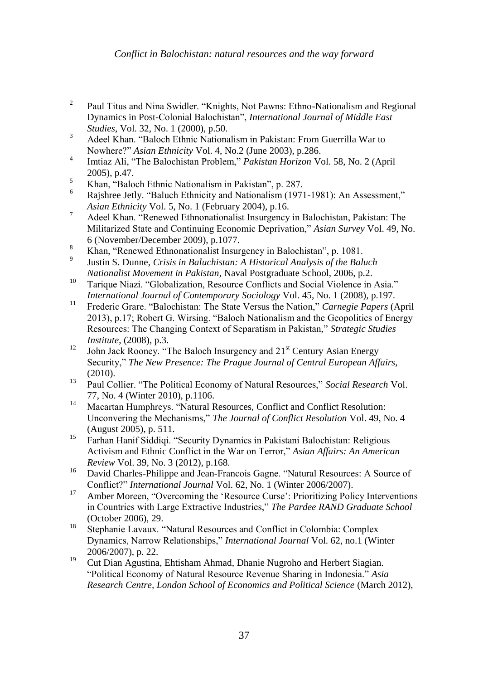- $\frac{1}{2}$ Paul Titus and Nina Swidler. "Knights, Not Pawns: Ethno-Nationalism and Regional Dynamics in Post-Colonial Balochistan", *International Journal of Middle East Studies*, Vol. 32, No. 1 (2000), p.50.
- <sup>3</sup> Adeel Khan. "Baloch Ethnic Nationalism in Pakistan: From Guerrilla War to Nowhere?" *Asian Ethnicity* Vol. 4, No.2 (June 2003), p.286.
- 4 Imtiaz Ali, "The Balochistan Problem," *Pakistan Horizon* Vol. 58, No. 2 (April 2005), p.47.
- $\frac{5}{6}$  Khan, "Baloch Ethnic Nationalism in Pakistan", p. 287.
- Rajshree Jetly. "Baluch Ethnicity and Nationalism (1971-1981): An Assessment," *Asian Ethnicity* Vol. 5, No. 1 (February 2004), p.16.
- <sup>7</sup> Adeel Khan. "Renewed Ethnonationalist Insurgency in Balochistan, Pakistan: The Militarized State and Continuing Economic Deprivation," *Asian Survey* Vol. 49, No. 6 (November/December 2009), p.1077.
- <sup>8</sup> Khan, "Renewed Ethnonationalist Insurgency in Balochistan", p. 1081.
- 9 Justin S. Dunne, *Crisis in Baluchistan: A Historical Analysis of the Baluch Nationalist Movement in Pakistan,* Naval Postgraduate School, 2006, p.2.
- <sup>10</sup> Tarique Niazi. "Globalization, Resource Conflicts and Social Violence in Asia." *International Journal of Contemporary Sociology* Vol. 45, No. 1 (2008), p.197.
- <sup>11</sup> Frederic Grare. "Balochistan: The State Versus the Nation," *Carnegie Papers* (April 2013), p.17; Robert G. Wirsing. "Baloch Nationalism and the Geopolitics of Energy Resources: The Changing Context of Separatism in Pakistan," *Strategic Studies Institute*, (2008), p.3.
- <sup>12</sup> John Jack Rooney. "The Baloch Insurgency and  $21<sup>st</sup>$  Century Asian Energy Security," *The New Presence: The Prague Journal of Central European Affairs,*  (2010).
- <sup>13</sup> Paul Collier. "The Political Economy of Natural Resources," *Social Research* Vol. 77, No. 4 (Winter 2010), p.1106.
- <sup>14</sup> Macartan Humphreys. "Natural Resources, Conflict and Conflict Resolution: Unconvering the Mechanisms," *The Journal of Conflict Resolution* Vol. 49, No. 4 (August 2005), p. 511.
- <sup>15</sup> Farhan Hanif Siddiqi. "Security Dynamics in Pakistani Balochistan: Religious Activism and Ethnic Conflict in the War on Terror," *Asian Affairs: An American Review* Vol. 39, No. 3 (2012), p.168.
- <sup>16</sup> David Charles-Philippe and Jean-Francois Gagne. "Natural Resources: A Source of Conflict?" *International Journal* Vol. 62, No. 1 (Winter 2006/2007).
- <sup>17</sup> Amber Moreen, "Overcoming the 'Resource Curse': Prioritizing Policy Interventions in Countries with Large Extractive Industries," *The Pardee RAND Graduate School* (October 2006), 29.
- <sup>18</sup> Stephanie Lavaux. "Natural Resources and Conflict in Colombia: Complex Dynamics, Narrow Relationships," *International Journal* Vol. 62, no.1 (Winter 2006/2007), p. 22.
- <sup>19</sup> Cut Dian Agustina, Ehtisham Ahmad, Dhanie Nugroho and Herbert Siagian. "Political Economy of Natural Resource Revenue Sharing in Indonesia." *Asia Research Centre, London School of Economics and Political Science* (March 2012),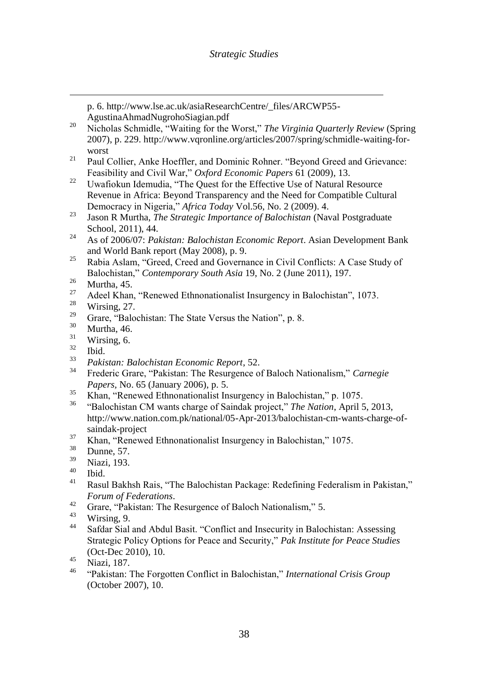p. 6. http://www.lse.ac.uk/asiaResearchCentre/\_files/ARCWP55- AgustinaAhmadNugrohoSiagian.pdf

- <sup>20</sup> Nicholas Schmidle, "Waiting for the Worst," *The Virginia Quarterly Review* (Spring 2007), p. 229. http://www.vqronline.org/articles/2007/spring/schmidle-waiting-forworst
- <sup>21</sup> Paul Collier, Anke Hoeffler, and Dominic Rohner. "Beyond Greed and Grievance: Feasibility and Civil War," *Oxford Economic Papers* 61 (2009), 13.
- <sup>22</sup> Uwafiokun Idemudia, "The Ouest for the Effective Use of Natural Resource Revenue in Africa: Beyond Transparency and the Need for Compatible Cultural Democracy in Nigeria," *Africa Today* Vol.56, No. 2 (2009). 4.
- <sup>23</sup> Jason R Murtha, *The Strategic Importance of Balochistan* (Naval Postgraduate School, 2011), 44.
- <sup>24</sup> As of 2006/07: *Pakistan: Balochistan Economic Report*. Asian Development Bank and World Bank report (May 2008), p. 9.
- <sup>25</sup> Rabia Aslam, "Greed, Creed and Governance in Civil Conflicts: A Case Study of Balochistan," *Contemporary South Asia* 19, No. 2 (June 2011), 197.
- $rac{26}{27}$  Murtha, 45.
- <sup>27</sup> Adeel Khan, "Renewed Ethnonationalist Insurgency in Balochistan", 1073.
- $\frac{28}{29}$  Wirsing, 27.
- <sup>29</sup> Grare, "Balochistan: The State Versus the Nation", p. 8.<br><sup>30</sup> Murtha 46
- $rac{30}{31}$  Murtha, 46.
- $rac{31}{32}$  Wirsing, 6.
- $rac{32}{33}$  Ibid.

 $\overline{a}$ 

- <sup>33</sup> *Pakistan: Balochistan Economic Report*, 52.
- <sup>34</sup> Frederic Grare, "Pakistan: The Resurgence of Baloch Nationalism," *Carnegie Papers,* No. 65 (January 2006), p. 5.
- $\frac{35}{100}$  Khan, "Renewed Ethnonationalist Insurgency in Balochistan," p. 1075.
- <sup>36</sup> "Balochistan CM wants charge of Saindak project," *The Nation*, April 5, 2013, http://www.nation.com.pk/national/05-Apr-2013/balochistan-cm-wants-charge-ofsaindak-project
- <sup>37</sup> Khan, "Renewed Ethnonationalist Insurgency in Balochistan," 1075.
- $\frac{38}{39}$  Dunne, 57.
- $\frac{39}{40}$  Niazi, 193.
- $\frac{40}{41}$  Ibid.
- <sup>41</sup> Rasul Bakhsh Rais, "The Balochistan Package: Redefining Federalism in Pakistan," *Forum of Federations*.
- <sup>42</sup> Grare, "Pakistan: The Resurgence of Baloch Nationalism," 5.
- $\frac{43}{44}$  Wirsing, 9.
- Safdar Sial and Abdul Basit. "Conflict and Insecurity in Balochistan: Assessing Strategic Policy Options for Peace and Security," *Pak Institute for Peace Studies* (Oct-Dec 2010), 10.
- $^{45}$  Niazi, 187.
- <sup>46</sup> "Pakistan: The Forgotten Conflict in Balochistan," *International Crisis Group* (October 2007), 10.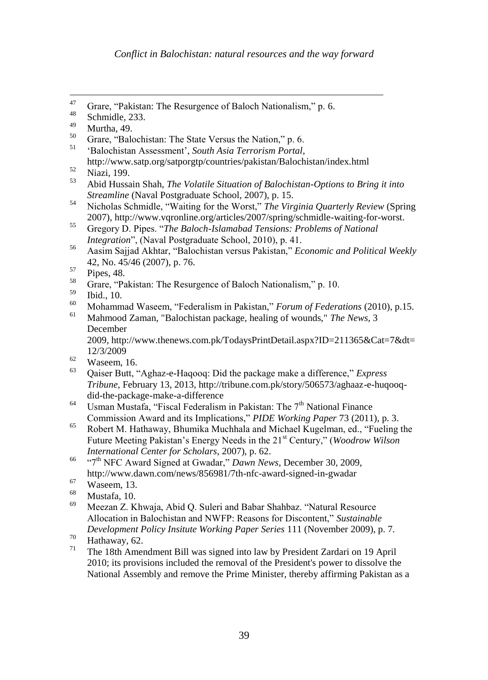<sup>51</sup> "Balochistan Assessment", *South Asia Terrorism Portal*,

- $^{58}$  Grare, "Pakistan: The Resurgence of Baloch Nationalism," p. 10.
- $^{59}$  Ibid., 10.
- <sup>60</sup> Mohammad Waseem, "Federalism in Pakistan," *Forum of Federations* (2010), p.15.
- <sup>61</sup> Mahmood Zaman, "Balochistan package, healing of wounds," *The News*, 3 December

2009, http://www.thenews.com.pk/TodaysPrintDetail.aspx?ID=211365&Cat=7&dt= 12/3/2009

- $\frac{62}{63}$  Waseem, 16.
- <sup>63</sup> Qaiser Butt, "Aghaz-e-Haqooq: Did the package make a difference," *Express Tribune,* February 13, 2013, http://tribune.com.pk/story/506573/aghaaz-e-huqooqdid-the-package-make-a-difference
- <sup>64</sup> Usman Mustafa, "Fiscal Federalism in Pakistan: The  $7<sup>th</sup>$  National Finance Commission Award and its Implications," *PIDE Working Paper* 73 (2011), p. 3.
- <sup>65</sup> Robert M. Hathaway, Bhumika Muchhala and Michael Kugelman, ed., "Fueling the Future Meeting Pakistan's Energy Needs in the 21<sup>st</sup> Century," (*Woodrow Wilson International Center for Scholars*, 2007), p. 62.
- <sup>66</sup> "7th NFC Award Signed at Gwadar," *Dawn News*, December 30, 2009, http://www.dawn.com/news/856981/7th-nfc-award-signed-in-gwadar
- $^{67}$  Waseem, 13.
- $^{68}$  Mustafa, 10.
- <sup>69</sup> Meezan Z. Khwaja, Abid Q. Suleri and Babar Shahbaz. "Natural Resource Allocation in Balochistan and NWFP: Reasons for Discontent," *Sustainable Development Policy Insitute Working Paper Series* 111 (November 2009), p. 7.

<sup>71</sup> The 18th Amendment Bill was signed into law by President Zardari on 19 April 2010; its provisions included the removal of the President's power to dissolve the National Assembly and remove the Prime Minister, thereby affirming Pakistan as a

<sup>47</sup> <sup>47</sup> Grare, "Pakistan: The Resurgence of Baloch Nationalism," p. 6.<br> $^{48}$  Salami II. 222

 $^{48}$  Schmidle, 233.

 $^{49}$  Murtha, 49.

<sup>&</sup>lt;sup>50</sup> Grare, "Balochistan: The State Versus the Nation," p. 6.<br><sup>51</sup> Palochistan Assossment', South Asia Tamonian Boutal.

http://www.satp.org/satporgtp/countries/pakistan/Balochistan/index.html

 $\frac{52}{53}$  Niazi, 199.

<sup>53</sup> Abid Hussain Shah, *The Volatile Situation of Balochistan-Options to Bring it into Streamline* (Naval Postgraduate School, 2007), p. 15.

<sup>54</sup> Nicholas Schmidle, "Waiting for the Worst," *The Virginia Quarterly Review* (Spring 2007), http://www.vqronline.org/articles/2007/spring/schmidle-waiting-for-worst.

<sup>55</sup> Gregory D. Pipes. "*The Baloch-Islamabad Tensions: Problems of National Integration*", (Naval Postgraduate School, 2010), p. 41.

<sup>56</sup> Aasim Sajjad Akhtar, "Balochistan versus Pakistan," *Economic and Political Weekly*  42, No. 45/46 (2007), p. 76.

 $\frac{57}{58}$  Pipes, 48.

 $^{70}$  Hathaway, 62.